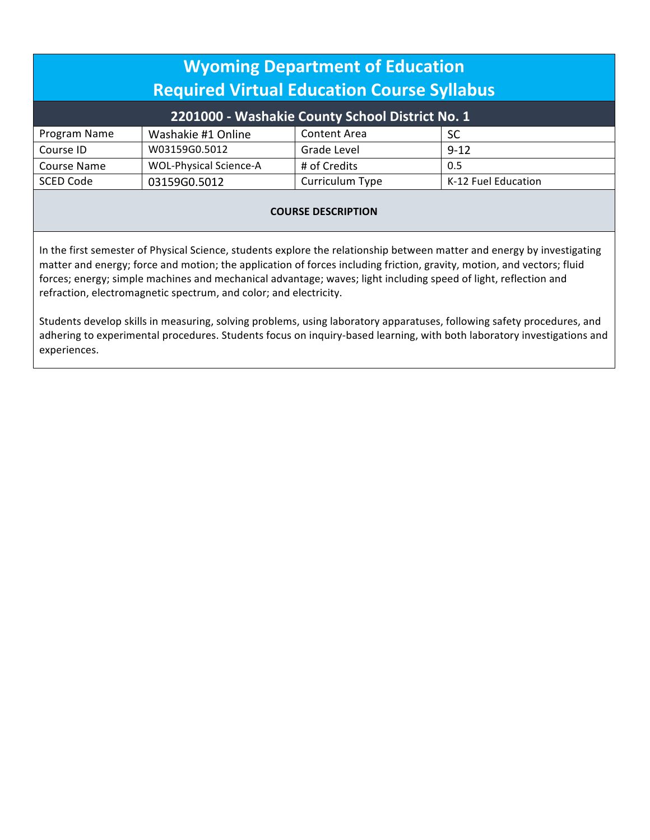| <b>Wyoming Department of Education</b>            |                               |                     |                     |  |
|---------------------------------------------------|-------------------------------|---------------------|---------------------|--|
| <b>Required Virtual Education Course Syllabus</b> |                               |                     |                     |  |
| 2201000 - Washakie County School District No. 1   |                               |                     |                     |  |
| Program Name                                      | Washakie #1 Online            | <b>Content Area</b> | <b>SC</b>           |  |
| Course ID                                         | W03159G0.5012                 | Grade Level         | $9 - 12$            |  |
| <b>Course Name</b>                                | <b>WOL-Physical Science-A</b> | # of Credits        | 0.5                 |  |
| <b>SCED Code</b>                                  | 03159G0.5012                  | Curriculum Type     | K-12 Fuel Education |  |
|                                                   |                               |                     |                     |  |

## **COURSE DESCRIPTION**

In the first semester of Physical Science, students explore the relationship between matter and energy by investigating matter and energy; force and motion; the application of forces including friction, gravity, motion, and vectors; fluid forces; energy; simple machines and mechanical advantage; waves; light including speed of light, reflection and refraction, electromagnetic spectrum, and color; and electricity.

 Students develop skills in measuring, solving problems, using laboratory apparatuses, following safety procedures, and adhering to experimental procedures. Students focus on inquiry-based learning, with both laboratory investigations and experiences.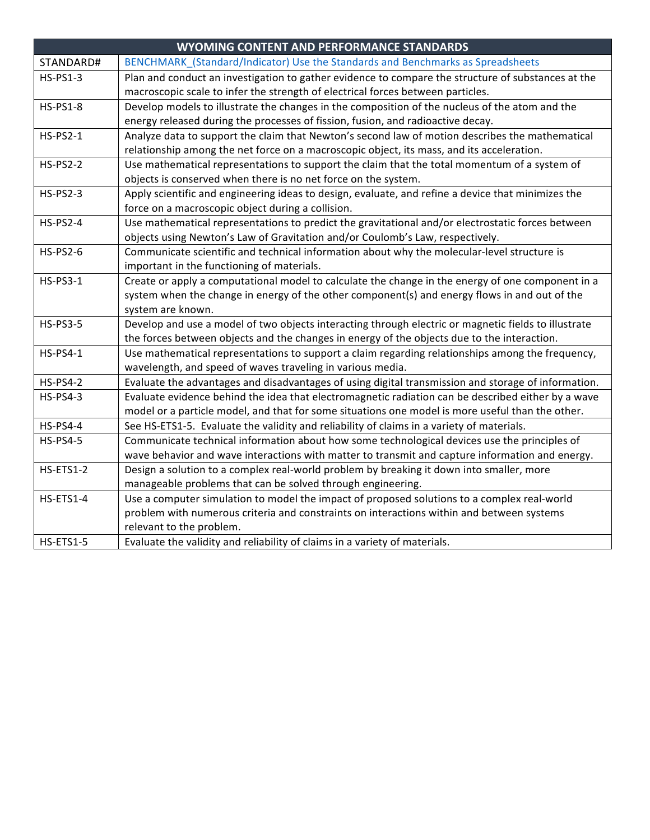|                  | <b>WYOMING CONTENT AND PERFORMANCE STANDARDS</b>                                                     |
|------------------|------------------------------------------------------------------------------------------------------|
| STANDARD#        | BENCHMARK (Standard/Indicator) Use the Standards and Benchmarks as Spreadsheets                      |
| <b>HS-PS1-3</b>  | Plan and conduct an investigation to gather evidence to compare the structure of substances at the   |
|                  | macroscopic scale to infer the strength of electrical forces between particles.                      |
| <b>HS-PS1-8</b>  | Develop models to illustrate the changes in the composition of the nucleus of the atom and the       |
|                  | energy released during the processes of fission, fusion, and radioactive decay.                      |
| <b>HS-PS2-1</b>  | Analyze data to support the claim that Newton's second law of motion describes the mathematical      |
|                  | relationship among the net force on a macroscopic object, its mass, and its acceleration.            |
| <b>HS-PS2-2</b>  | Use mathematical representations to support the claim that the total momentum of a system of         |
|                  | objects is conserved when there is no net force on the system.                                       |
| <b>HS-PS2-3</b>  | Apply scientific and engineering ideas to design, evaluate, and refine a device that minimizes the   |
|                  | force on a macroscopic object during a collision.                                                    |
| <b>HS-PS2-4</b>  | Use mathematical representations to predict the gravitational and/or electrostatic forces between    |
|                  | objects using Newton's Law of Gravitation and/or Coulomb's Law, respectively.                        |
| <b>HS-PS2-6</b>  | Communicate scientific and technical information about why the molecular-level structure is          |
|                  | important in the functioning of materials.                                                           |
| <b>HS-PS3-1</b>  | Create or apply a computational model to calculate the change in the energy of one component in a    |
|                  | system when the change in energy of the other component(s) and energy flows in and out of the        |
|                  | system are known.                                                                                    |
| <b>HS-PS3-5</b>  | Develop and use a model of two objects interacting through electric or magnetic fields to illustrate |
|                  | the forces between objects and the changes in energy of the objects due to the interaction.          |
| <b>HS-PS4-1</b>  | Use mathematical representations to support a claim regarding relationships among the frequency,     |
|                  | wavelength, and speed of waves traveling in various media.                                           |
| <b>HS-PS4-2</b>  | Evaluate the advantages and disadvantages of using digital transmission and storage of information.  |
| <b>HS-PS4-3</b>  | Evaluate evidence behind the idea that electromagnetic radiation can be described either by a wave   |
|                  | model or a particle model, and that for some situations one model is more useful than the other.     |
| <b>HS-PS4-4</b>  | See HS-ETS1-5. Evaluate the validity and reliability of claims in a variety of materials.            |
| <b>HS-PS4-5</b>  | Communicate technical information about how some technological devices use the principles of         |
|                  | wave behavior and wave interactions with matter to transmit and capture information and energy.      |
| <b>HS-ETS1-2</b> | Design a solution to a complex real-world problem by breaking it down into smaller, more             |
|                  | manageable problems that can be solved through engineering.                                          |
| HS-ETS1-4        | Use a computer simulation to model the impact of proposed solutions to a complex real-world          |
|                  | problem with numerous criteria and constraints on interactions within and between systems            |
|                  | relevant to the problem.                                                                             |
| HS-ETS1-5        | Evaluate the validity and reliability of claims in a variety of materials.                           |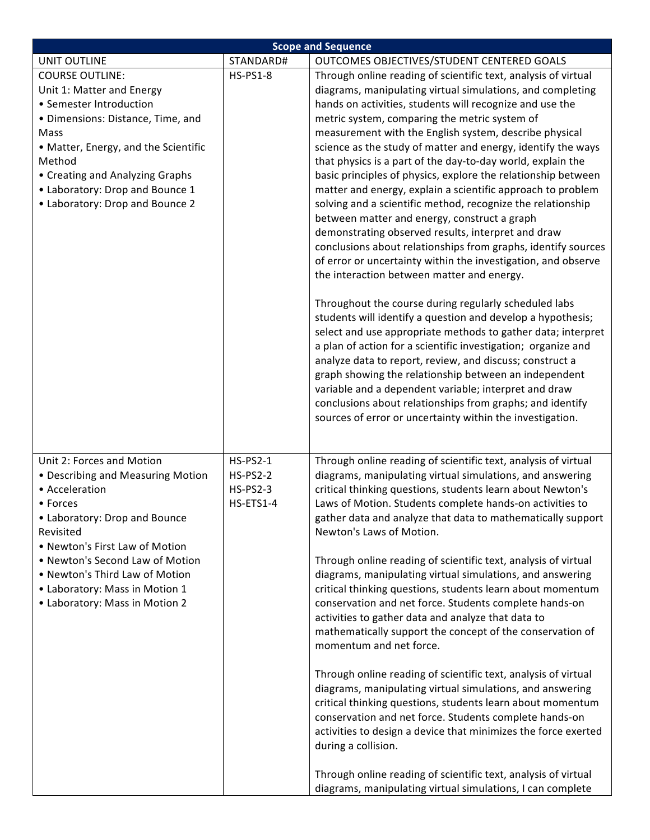| <b>Scope and Sequence</b>            |                 |                                                                                                                      |  |
|--------------------------------------|-----------------|----------------------------------------------------------------------------------------------------------------------|--|
| <b>UNIT OUTLINE</b>                  | STANDARD#       | OUTCOMES OBJECTIVES/STUDENT CENTERED GOALS                                                                           |  |
| <b>COURSE OUTLINE:</b>               | <b>HS-PS1-8</b> | Through online reading of scientific text, analysis of virtual                                                       |  |
| Unit 1: Matter and Energy            |                 | diagrams, manipulating virtual simulations, and completing                                                           |  |
| • Semester Introduction              |                 | hands on activities, students will recognize and use the                                                             |  |
| · Dimensions: Distance, Time, and    |                 | metric system, comparing the metric system of                                                                        |  |
| Mass                                 |                 | measurement with the English system, describe physical                                                               |  |
| • Matter, Energy, and the Scientific |                 | science as the study of matter and energy, identify the ways                                                         |  |
| Method                               |                 | that physics is a part of the day-to-day world, explain the                                                          |  |
| • Creating and Analyzing Graphs      |                 | basic principles of physics, explore the relationship between                                                        |  |
| • Laboratory: Drop and Bounce 1      |                 | matter and energy, explain a scientific approach to problem                                                          |  |
| • Laboratory: Drop and Bounce 2      |                 | solving and a scientific method, recognize the relationship                                                          |  |
|                                      |                 | between matter and energy, construct a graph                                                                         |  |
|                                      |                 | demonstrating observed results, interpret and draw                                                                   |  |
|                                      |                 | conclusions about relationships from graphs, identify sources                                                        |  |
|                                      |                 | of error or uncertainty within the investigation, and observe                                                        |  |
|                                      |                 | the interaction between matter and energy.                                                                           |  |
|                                      |                 |                                                                                                                      |  |
|                                      |                 | Throughout the course during regularly scheduled labs<br>students will identify a question and develop a hypothesis; |  |
|                                      |                 | select and use appropriate methods to gather data; interpret                                                         |  |
|                                      |                 | a plan of action for a scientific investigation; organize and                                                        |  |
|                                      |                 | analyze data to report, review, and discuss; construct a                                                             |  |
|                                      |                 | graph showing the relationship between an independent                                                                |  |
|                                      |                 | variable and a dependent variable; interpret and draw                                                                |  |
|                                      |                 | conclusions about relationships from graphs; and identify                                                            |  |
|                                      |                 | sources of error or uncertainty within the investigation.                                                            |  |
|                                      |                 |                                                                                                                      |  |
|                                      |                 |                                                                                                                      |  |
| Unit 2: Forces and Motion            | <b>HS-PS2-1</b> | Through online reading of scientific text, analysis of virtual                                                       |  |
| • Describing and Measuring Motion    | <b>HS-PS2-2</b> | diagrams, manipulating virtual simulations, and answering                                                            |  |
| • Acceleration                       | <b>HS-PS2-3</b> | critical thinking questions, students learn about Newton's                                                           |  |
| • Forces                             | HS-ETS1-4       | Laws of Motion. Students complete hands-on activities to                                                             |  |
| • Laboratory: Drop and Bounce        |                 | gather data and analyze that data to mathematically support                                                          |  |
| Revisited                            |                 | Newton's Laws of Motion.                                                                                             |  |
| • Newton's First Law of Motion       |                 |                                                                                                                      |  |
| • Newton's Second Law of Motion      |                 | Through online reading of scientific text, analysis of virtual                                                       |  |
| • Newton's Third Law of Motion       |                 | diagrams, manipulating virtual simulations, and answering                                                            |  |
| • Laboratory: Mass in Motion 1       |                 | critical thinking questions, students learn about momentum                                                           |  |
| • Laboratory: Mass in Motion 2       |                 | conservation and net force. Students complete hands-on                                                               |  |
|                                      |                 | activities to gather data and analyze that data to                                                                   |  |
|                                      |                 | mathematically support the concept of the conservation of                                                            |  |
|                                      |                 | momentum and net force.                                                                                              |  |
|                                      |                 | Through online reading of scientific text, analysis of virtual                                                       |  |
|                                      |                 | diagrams, manipulating virtual simulations, and answering                                                            |  |
|                                      |                 | critical thinking questions, students learn about momentum                                                           |  |
|                                      |                 | conservation and net force. Students complete hands-on                                                               |  |
|                                      |                 | activities to design a device that minimizes the force exerted                                                       |  |
|                                      |                 | during a collision.                                                                                                  |  |
|                                      |                 |                                                                                                                      |  |
|                                      |                 | Through online reading of scientific text, analysis of virtual                                                       |  |
|                                      |                 | diagrams, manipulating virtual simulations, I can complete                                                           |  |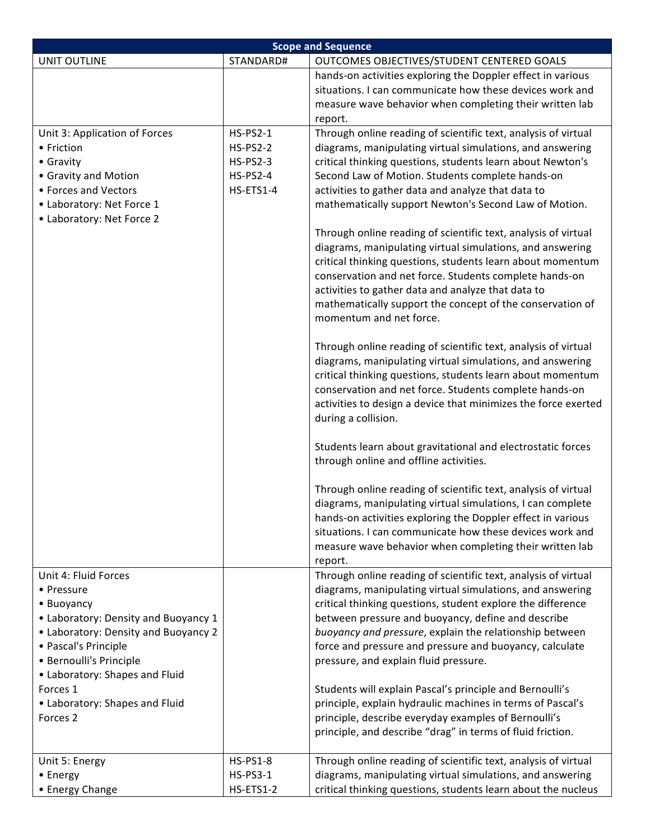| <b>Scope and Sequence</b>                       |                 |                                                                                                                                                                                                                                                                                                                                                                                                   |  |
|-------------------------------------------------|-----------------|---------------------------------------------------------------------------------------------------------------------------------------------------------------------------------------------------------------------------------------------------------------------------------------------------------------------------------------------------------------------------------------------------|--|
| <b>UNIT OUTLINE</b>                             | STANDARD#       | OUTCOMES OBJECTIVES/STUDENT CENTERED GOALS                                                                                                                                                                                                                                                                                                                                                        |  |
|                                                 |                 | hands-on activities exploring the Doppler effect in various<br>situations. I can communicate how these devices work and<br>measure wave behavior when completing their written lab<br>report.                                                                                                                                                                                                     |  |
| Unit 3: Application of Forces                   | <b>HS-PS2-1</b> | Through online reading of scientific text, analysis of virtual                                                                                                                                                                                                                                                                                                                                    |  |
| • Friction                                      | <b>HS-PS2-2</b> | diagrams, manipulating virtual simulations, and answering                                                                                                                                                                                                                                                                                                                                         |  |
| • Gravity                                       | <b>HS-PS2-3</b> | critical thinking questions, students learn about Newton's                                                                                                                                                                                                                                                                                                                                        |  |
| • Gravity and Motion                            | <b>HS-PS2-4</b> | Second Law of Motion. Students complete hands-on                                                                                                                                                                                                                                                                                                                                                  |  |
| • Forces and Vectors                            | HS-ETS1-4       | activities to gather data and analyze that data to                                                                                                                                                                                                                                                                                                                                                |  |
| • Laboratory: Net Force 1                       |                 | mathematically support Newton's Second Law of Motion.                                                                                                                                                                                                                                                                                                                                             |  |
| • Laboratory: Net Force 2                       |                 |                                                                                                                                                                                                                                                                                                                                                                                                   |  |
|                                                 |                 | Through online reading of scientific text, analysis of virtual<br>diagrams, manipulating virtual simulations, and answering<br>critical thinking questions, students learn about momentum<br>conservation and net force. Students complete hands-on<br>activities to gather data and analyze that data to<br>mathematically support the concept of the conservation of<br>momentum and net force. |  |
|                                                 |                 | Through online reading of scientific text, analysis of virtual<br>diagrams, manipulating virtual simulations, and answering<br>critical thinking questions, students learn about momentum<br>conservation and net force. Students complete hands-on<br>activities to design a device that minimizes the force exerted<br>during a collision.                                                      |  |
|                                                 |                 | Students learn about gravitational and electrostatic forces<br>through online and offline activities.                                                                                                                                                                                                                                                                                             |  |
|                                                 |                 | Through online reading of scientific text, analysis of virtual<br>diagrams, manipulating virtual simulations, I can complete<br>hands-on activities exploring the Doppler effect in various<br>situations. I can communicate how these devices work and<br>measure wave behavior when completing their written lab<br>report.                                                                     |  |
| Unit 4: Fluid Forces                            |                 | Through online reading of scientific text, analysis of virtual                                                                                                                                                                                                                                                                                                                                    |  |
| • Pressure<br>• Buoyancy                        |                 | diagrams, manipulating virtual simulations, and answering<br>critical thinking questions, student explore the difference                                                                                                                                                                                                                                                                          |  |
| • Laboratory: Density and Buoyancy 1            |                 | between pressure and buoyancy, define and describe                                                                                                                                                                                                                                                                                                                                                |  |
| • Laboratory: Density and Buoyancy 2            |                 | buoyancy and pressure, explain the relationship between                                                                                                                                                                                                                                                                                                                                           |  |
| • Pascal's Principle<br>· Bernoulli's Principle |                 | force and pressure and pressure and buoyancy, calculate<br>pressure, and explain fluid pressure.                                                                                                                                                                                                                                                                                                  |  |
| • Laboratory: Shapes and Fluid                  |                 |                                                                                                                                                                                                                                                                                                                                                                                                   |  |
| Forces 1                                        |                 | Students will explain Pascal's principle and Bernoulli's                                                                                                                                                                                                                                                                                                                                          |  |
| • Laboratory: Shapes and Fluid                  |                 | principle, explain hydraulic machines in terms of Pascal's                                                                                                                                                                                                                                                                                                                                        |  |
| Forces <sub>2</sub>                             |                 | principle, describe everyday examples of Bernoulli's<br>principle, and describe "drag" in terms of fluid friction.                                                                                                                                                                                                                                                                                |  |
| Unit 5: Energy                                  | <b>HS-PS1-8</b> | Through online reading of scientific text, analysis of virtual                                                                                                                                                                                                                                                                                                                                    |  |
| • Energy                                        | <b>HS-PS3-1</b> | diagrams, manipulating virtual simulations, and answering                                                                                                                                                                                                                                                                                                                                         |  |
| • Energy Change                                 | HS-ETS1-2       | critical thinking questions, students learn about the nucleus                                                                                                                                                                                                                                                                                                                                     |  |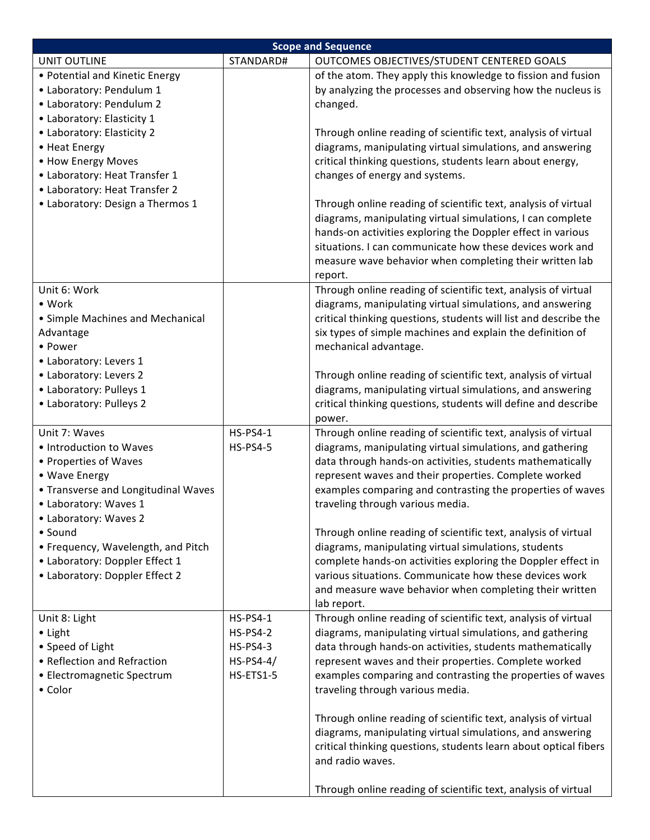| <b>Scope and Sequence</b>                                      |                                |                                                                                                                             |  |
|----------------------------------------------------------------|--------------------------------|-----------------------------------------------------------------------------------------------------------------------------|--|
| <b>UNIT OUTLINE</b>                                            | STANDARD#                      | OUTCOMES OBJECTIVES/STUDENT CENTERED GOALS                                                                                  |  |
| • Potential and Kinetic Energy                                 |                                | of the atom. They apply this knowledge to fission and fusion                                                                |  |
| • Laboratory: Pendulum 1                                       |                                | by analyzing the processes and observing how the nucleus is                                                                 |  |
| • Laboratory: Pendulum 2                                       |                                | changed.                                                                                                                    |  |
| • Laboratory: Elasticity 1                                     |                                |                                                                                                                             |  |
| • Laboratory: Elasticity 2                                     |                                | Through online reading of scientific text, analysis of virtual                                                              |  |
| • Heat Energy                                                  |                                | diagrams, manipulating virtual simulations, and answering                                                                   |  |
| • How Energy Moves                                             |                                | critical thinking questions, students learn about energy,                                                                   |  |
| • Laboratory: Heat Transfer 1<br>• Laboratory: Heat Transfer 2 |                                | changes of energy and systems.                                                                                              |  |
| • Laboratory: Design a Thermos 1                               |                                | Through online reading of scientific text, analysis of virtual                                                              |  |
|                                                                |                                | diagrams, manipulating virtual simulations, I can complete                                                                  |  |
|                                                                |                                | hands-on activities exploring the Doppler effect in various                                                                 |  |
|                                                                |                                | situations. I can communicate how these devices work and                                                                    |  |
|                                                                |                                | measure wave behavior when completing their written lab                                                                     |  |
|                                                                |                                | report.                                                                                                                     |  |
| Unit 6: Work                                                   |                                | Through online reading of scientific text, analysis of virtual                                                              |  |
| • Work                                                         |                                | diagrams, manipulating virtual simulations, and answering                                                                   |  |
| • Simple Machines and Mechanical                               |                                | critical thinking questions, students will list and describe the                                                            |  |
| Advantage                                                      |                                | six types of simple machines and explain the definition of                                                                  |  |
| • Power                                                        |                                | mechanical advantage.                                                                                                       |  |
| • Laboratory: Levers 1                                         |                                |                                                                                                                             |  |
| • Laboratory: Levers 2                                         |                                | Through online reading of scientific text, analysis of virtual                                                              |  |
| • Laboratory: Pulleys 1                                        |                                | diagrams, manipulating virtual simulations, and answering                                                                   |  |
| • Laboratory: Pulleys 2                                        |                                | critical thinking questions, students will define and describe                                                              |  |
| Unit 7: Waves                                                  | <b>HS-PS4-1</b>                | power.                                                                                                                      |  |
| • Introduction to Waves                                        | <b>HS-PS4-5</b>                | Through online reading of scientific text, analysis of virtual<br>diagrams, manipulating virtual simulations, and gathering |  |
| • Properties of Waves                                          |                                | data through hands-on activities, students mathematically                                                                   |  |
| • Wave Energy                                                  |                                | represent waves and their properties. Complete worked                                                                       |  |
| • Transverse and Longitudinal Waves                            |                                | examples comparing and contrasting the properties of waves                                                                  |  |
| • Laboratory: Waves 1                                          |                                | traveling through various media.                                                                                            |  |
| • Laboratory: Waves 2                                          |                                |                                                                                                                             |  |
| $\bullet$ Sound                                                |                                | Through online reading of scientific text, analysis of virtual                                                              |  |
| • Frequency, Wavelength, and Pitch                             |                                | diagrams, manipulating virtual simulations, students                                                                        |  |
| • Laboratory: Doppler Effect 1                                 |                                | complete hands-on activities exploring the Doppler effect in                                                                |  |
| • Laboratory: Doppler Effect 2                                 |                                | various situations. Communicate how these devices work                                                                      |  |
|                                                                |                                | and measure wave behavior when completing their written                                                                     |  |
|                                                                |                                | lab report.                                                                                                                 |  |
| Unit 8: Light                                                  | <b>HS-PS4-1</b>                | Through online reading of scientific text, analysis of virtual                                                              |  |
| • Light                                                        | <b>HS-PS4-2</b>                | diagrams, manipulating virtual simulations, and gathering                                                                   |  |
| • Speed of Light<br>• Reflection and Refraction                | <b>HS-PS4-3</b><br>$HS-PS4-4/$ | data through hands-on activities, students mathematically                                                                   |  |
| • Electromagnetic Spectrum                                     | HS-ETS1-5                      | represent waves and their properties. Complete worked<br>examples comparing and contrasting the properties of waves         |  |
| • Color                                                        |                                | traveling through various media.                                                                                            |  |
|                                                                |                                |                                                                                                                             |  |
|                                                                |                                | Through online reading of scientific text, analysis of virtual                                                              |  |
|                                                                |                                | diagrams, manipulating virtual simulations, and answering                                                                   |  |
|                                                                |                                | critical thinking questions, students learn about optical fibers                                                            |  |
|                                                                |                                | and radio waves.                                                                                                            |  |
|                                                                |                                | Through online reading of scientific text, analysis of virtual                                                              |  |